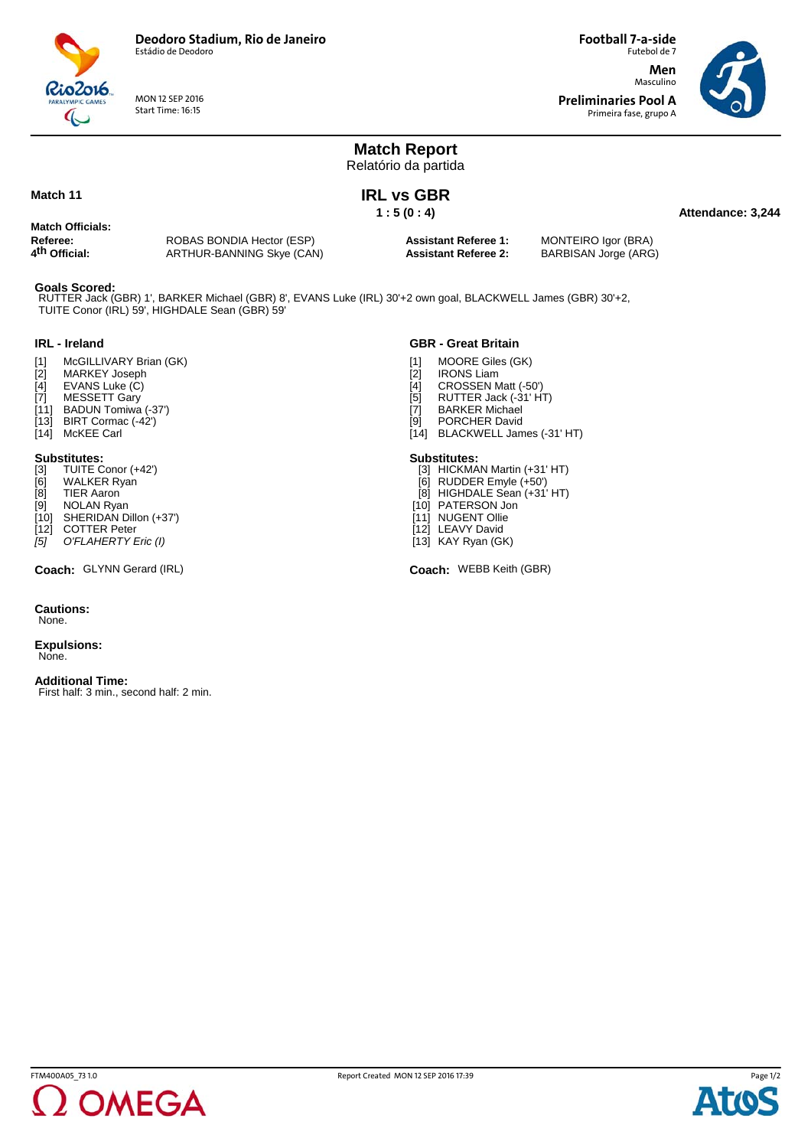

MON 12 SEP 2016 Start Time: 16:15

Futebol de 7 **Men** Masculino **Preliminaries Pool A**

**Football 7-a-side**

Primeira fase, grupo A



**Attendance: 3,244**

## **Match Report** Relatório da partida

### **Match 11**

**IRL vs GBR 1 : 5 (0 : 4)**

# **Match Officials:**

| Referee:                  |  |
|---------------------------|--|
|                           |  |
| 4 <sup>th</sup> Official: |  |
|                           |  |

ROBAS BONDIA Hector (ESP) **4th Official:** ARTHUR-BANNING Skye (CAN)

**Assistant Referee 1:** MONTEIRO Igor (BRA) **Assistant Referee 2:** BARBISAN Jorge (ARG)

#### **Goals Scored:**

TUITE Conor (IRL) 59', HIGHDALE Sean (GBR) 59' RUTTER Jack (GBR) 1', BARKER Michael (GBR) 8', EVANS Luke (IRL) 30'+2 own goal, BLACKWELL James (GBR) 30'+2,

#### **IRL - Ireland**

- [1] McGILLIVARY Brian (GK)
- [2] MARKEY Joseph
- [4] EVANS Luke (C)<br>[7] MESSETT Gary
- MESSETT Gary
- [11] BADUN Tomiwa (-37')  $[13]$  BIRT Cormac  $(-4\overset{\circ}{2})$
- [14] McKEE Carl

- **Substitutes:**<br>[3] TUITE C
- [3] TUITE Conor (+42')<br>[6] WALKER Ryan WALKER Ryan
- [8] TIER Aaron
- NOLAN Ryan
- [10] SHERIDAN Dillon (+37')
- [12] COTTER Peter
- *[5] O'FLAHERTY Eric (I)*

**Coach:** GLYNN Gerard (IRL) Coach: Coach: WEBB Keith (GBR)

## **Cautions:**

None.

**Expulsions:** None.

#### **Additional Time:**

First half: 3 min., second half: 2 min.

## **GBR - Great Britain**

- [1] MOORE Giles (GK)<br>[2] IRONS Liam
- [2] IRONS Liam<br>[4] CROSSEN M
- [4] CROSSEN Matt (-50')<br>[5] RUTTER Jack (-31' H)
- [5] RUTTER Jack (-31' HT)<br>[7] BARKER Michael
- [7] BARKER Michael<br>[9] PORCHER David
- PORCHER David [14] BLACKWELL James (-31' HT)
- 

# **Substitutes:** [3] HICKMAN Martin (+31' HT)

- [6] RUDDER Emyle (+50')
- [8] HIGHDALE Sean (+31' HT)
- [10] PATERSON Jon
- $111$  NUGENT Ollie
- [12] LEAVY David
- [13] KAY Ryan (GK)